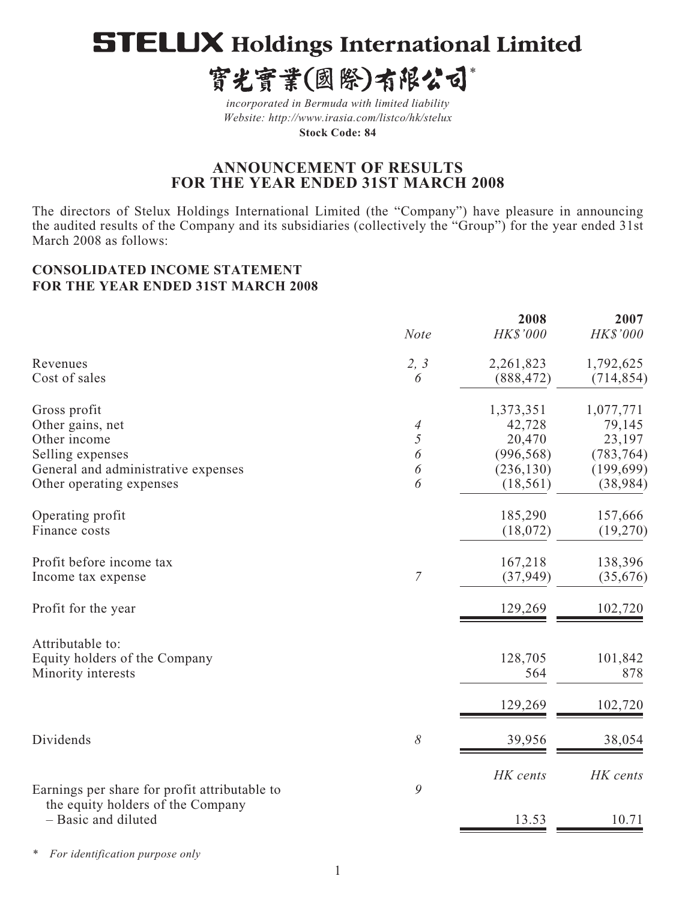# **STELUX Holdings International Limited**

寳光寳業(國際)有限公司\*

*incorporated in Bermuda with limited liability Website: http://www.irasia.com/listco/hk/stelux* 

**Stock Code: 84**

## **ANNOUNCEMENT OF RESULTS FOR THE YEAR ENDED 31ST MARCH 2008**

The directors of Stelux Holdings International Limited (the "Company") have pleasure in announcing the audited results of the Company and its subsidiaries (collectively the "Group") for the year ended 31st March 2008 as follows:

## **CONSOLIDATED INCOME STATEMENT FOR THE YEAR ENDED 31ST MARCH 2008**

|                                                          | <b>Note</b>      | 2008<br>HK\$'000 | 2007<br>HK\$'000 |
|----------------------------------------------------------|------------------|------------------|------------------|
| Revenues                                                 | 2, 3             | 2,261,823        | 1,792,625        |
| Cost of sales                                            | 6                | (888, 472)       | (714, 854)       |
| Gross profit                                             |                  | 1,373,351        | 1,077,771        |
| Other gains, net                                         | 4                | 42,728           | 79,145           |
| Other income                                             | 5                | 20,470           | 23,197           |
| Selling expenses                                         | 6                | (996, 568)       | (783, 764)       |
| General and administrative expenses                      | 6                | (236, 130)       | (199, 699)       |
| Other operating expenses                                 | 6                | (18, 561)        | (38, 984)        |
| Operating profit                                         |                  | 185,290          | 157,666          |
| Finance costs                                            |                  | (18,072)         | (19,270)         |
| Profit before income tax                                 |                  | 167,218          | 138,396          |
| Income tax expense                                       | $\boldsymbol{7}$ | (37, 949)        | (35,676)         |
| Profit for the year                                      |                  | 129,269          | 102,720          |
| Attributable to:                                         |                  |                  |                  |
| Equity holders of the Company                            |                  | 128,705          | 101,842          |
| Minority interests                                       |                  | 564              | 878              |
|                                                          |                  | 129,269          | 102,720          |
| Dividends                                                | $\delta$         | 39,956           | 38,054           |
|                                                          |                  | HK cents         | HK cents         |
| Earnings per share for profit attributable to            | 9                |                  |                  |
| the equity holders of the Company<br>- Basic and diluted |                  | 13.53            | 10.71            |
|                                                          |                  |                  |                  |

*\* For identification purpose only*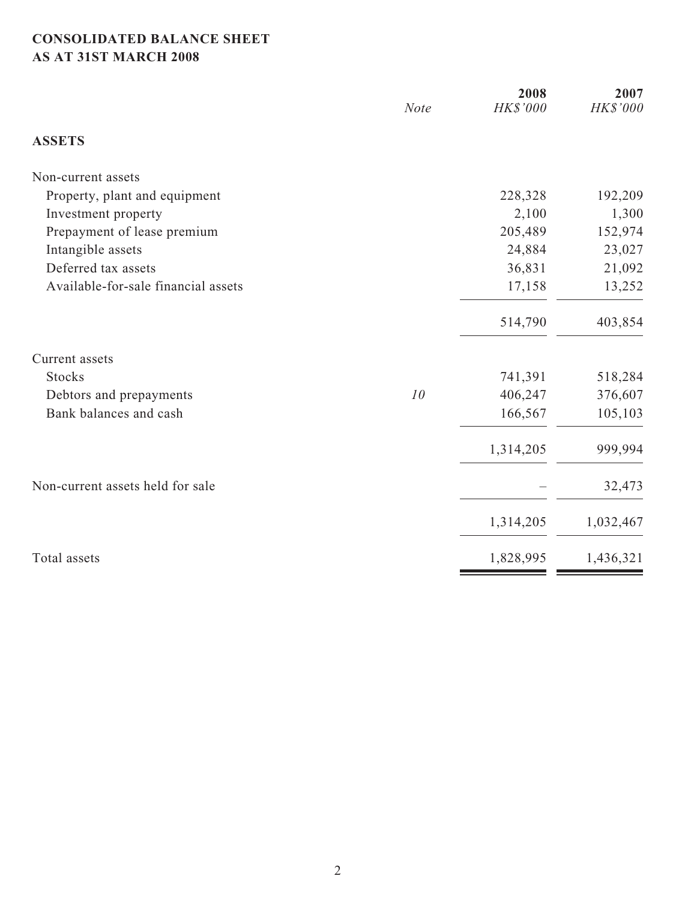## **CONSOLIDATED BALANCE SHEET AS AT 31ST MARCH 2008**

|                                     | <b>Note</b> | 2008<br>HK\$'000 | 2007<br>HK\$'000 |
|-------------------------------------|-------------|------------------|------------------|
| <b>ASSETS</b>                       |             |                  |                  |
| Non-current assets                  |             |                  |                  |
| Property, plant and equipment       |             | 228,328          | 192,209          |
| Investment property                 |             | 2,100            | 1,300            |
| Prepayment of lease premium         |             | 205,489          | 152,974          |
| Intangible assets                   |             | 24,884           | 23,027           |
| Deferred tax assets                 |             | 36,831           | 21,092           |
| Available-for-sale financial assets |             | 17,158           | 13,252           |
|                                     |             | 514,790          | 403,854          |
| Current assets                      |             |                  |                  |
| <b>Stocks</b>                       |             | 741,391          | 518,284          |
| Debtors and prepayments             | 10          | 406,247          | 376,607          |
| Bank balances and cash              |             | 166,567          | 105,103          |
|                                     |             | 1,314,205        | 999,994          |
| Non-current assets held for sale    |             |                  | 32,473           |
|                                     |             | 1,314,205        | 1,032,467        |
| Total assets                        |             | 1,828,995        | 1,436,321        |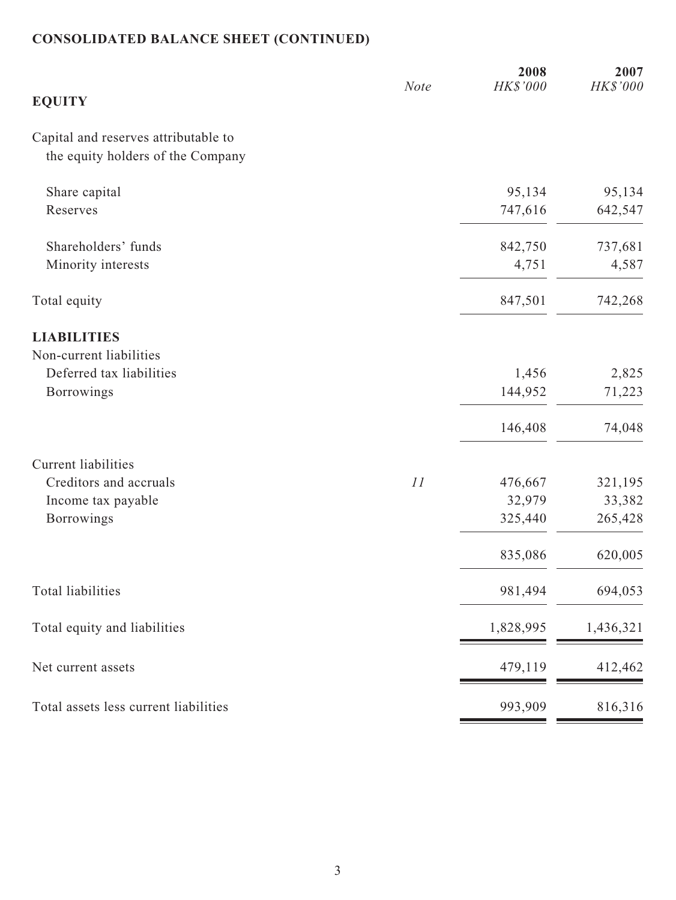# **CONSOLIDATED BALANCE SHEET (CONTINUED)**

|                                       | <b>Note</b> | 2008<br>HK\$'000 | 2007<br>HK\$'000 |
|---------------------------------------|-------------|------------------|------------------|
| <b>EQUITY</b>                         |             |                  |                  |
| Capital and reserves attributable to  |             |                  |                  |
| the equity holders of the Company     |             |                  |                  |
| Share capital                         |             | 95,134           | 95,134           |
| Reserves                              |             | 747,616          | 642,547          |
| Shareholders' funds                   |             | 842,750          | 737,681          |
| Minority interests                    |             | 4,751            | 4,587            |
| Total equity                          |             | 847,501          | 742,268          |
| <b>LIABILITIES</b>                    |             |                  |                  |
| Non-current liabilities               |             |                  |                  |
| Deferred tax liabilities              |             | 1,456            | 2,825            |
| Borrowings                            |             | 144,952          | 71,223           |
|                                       |             | 146,408          | 74,048           |
| <b>Current liabilities</b>            |             |                  |                  |
| Creditors and accruals                | 11          | 476,667          | 321,195          |
| Income tax payable                    |             | 32,979           | 33,382           |
| <b>Borrowings</b>                     |             | 325,440          | 265,428          |
|                                       |             | 835,086          | 620,005          |
| <b>Total liabilities</b>              |             | 981,494          | 694,053          |
| Total equity and liabilities          |             | 1,828,995        | 1,436,321        |
| Net current assets                    |             | 479,119          | 412,462          |
| Total assets less current liabilities |             | 993,909          | 816,316          |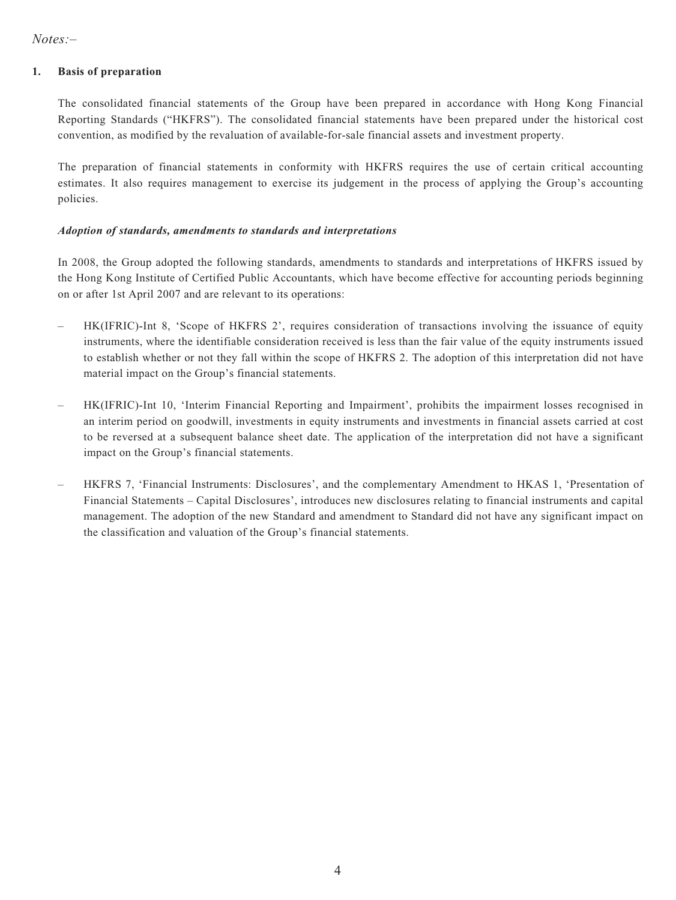*Notes:–*

#### **1. Basis of preparation**

The consolidated financial statements of the Group have been prepared in accordance with Hong Kong Financial Reporting Standards ("HKFRS"). The consolidated financial statements have been prepared under the historical cost convention, as modified by the revaluation of available-for-sale financial assets and investment property.

The preparation of financial statements in conformity with HKFRS requires the use of certain critical accounting estimates. It also requires management to exercise its judgement in the process of applying the Group's accounting policies.

#### *Adoption of standards, amendments to standards and interpretations*

In 2008, the Group adopted the following standards, amendments to standards and interpretations of HKFRS issued by the Hong Kong Institute of Certified Public Accountants, which have become effective for accounting periods beginning on or after 1st April 2007 and are relevant to its operations:

- HK(IFRIC)-Int 8, 'Scope of HKFRS 2', requires consideration of transactions involving the issuance of equity instruments, where the identifiable consideration received is less than the fair value of the equity instruments issued to establish whether or not they fall within the scope of HKFRS 2. The adoption of this interpretation did not have material impact on the Group's financial statements.
- HK(IFRIC)-Int 10, 'Interim Financial Reporting and Impairment', prohibits the impairment losses recognised in an interim period on goodwill, investments in equity instruments and investments in financial assets carried at cost to be reversed at a subsequent balance sheet date. The application of the interpretation did not have a significant impact on the Group's financial statements.
- HKFRS 7, 'Financial Instruments: Disclosures', and the complementary Amendment to HKAS 1, 'Presentation of Financial Statements – Capital Disclosures', introduces new disclosures relating to financial instruments and capital management. The adoption of the new Standard and amendment to Standard did not have any significant impact on the classification and valuation of the Group's financial statements.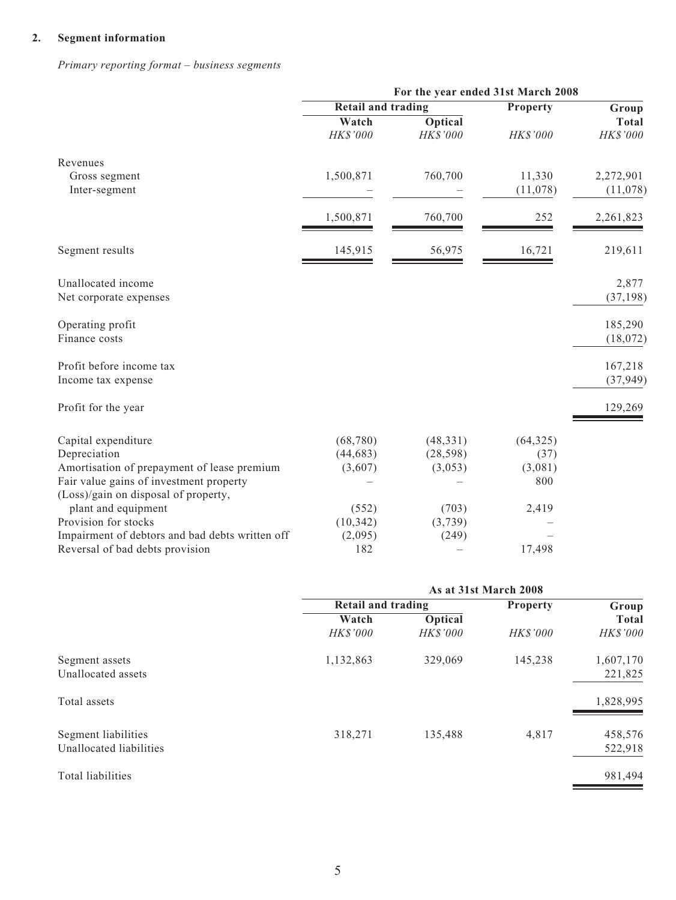## **2. Segment information**

*Primary reporting format – business segments*

|                                                 | For the year ended 31st March 2008 |                            |           |                          |
|-------------------------------------------------|------------------------------------|----------------------------|-----------|--------------------------|
|                                                 | <b>Retail and trading</b>          |                            | Property  | Group                    |
|                                                 | Watch<br>$H K\$$ '000              | <b>Optical</b><br>HK\$'000 | HK\$'000  | <b>Total</b><br>HK\$'000 |
| Revenues                                        |                                    |                            |           |                          |
| Gross segment                                   | 1,500,871                          | 760,700                    | 11,330    | 2,272,901                |
| Inter-segment                                   |                                    |                            | (11,078)  | (11,078)                 |
|                                                 | 1,500,871                          | 760,700                    | 252       | 2,261,823                |
| Segment results                                 | 145,915                            | 56,975                     | 16,721    | 219,611                  |
| Unallocated income                              |                                    |                            |           | 2,877                    |
| Net corporate expenses                          |                                    |                            |           | (37, 198)                |
| Operating profit                                |                                    |                            |           | 185,290                  |
| Finance costs                                   |                                    |                            |           | (18,072)                 |
| Profit before income tax                        |                                    |                            |           | 167,218                  |
| Income tax expense                              |                                    |                            |           | (37, 949)                |
| Profit for the year                             |                                    |                            |           | 129,269                  |
| Capital expenditure                             | (68, 780)                          | (48, 331)                  | (64, 325) |                          |
| Depreciation                                    | (44, 683)                          | (28, 598)                  | (37)      |                          |
| Amortisation of prepayment of lease premium     | (3,607)                            | (3,053)                    | (3,081)   |                          |
| Fair value gains of investment property         |                                    |                            | 800       |                          |
| (Loss)/gain on disposal of property,            |                                    |                            |           |                          |
| plant and equipment                             | (552)                              | (703)                      | 2,419     |                          |
| Provision for stocks                            | (10, 342)                          | (3,739)                    |           |                          |
| Impairment of debtors and bad debts written off | (2,095)                            | (249)                      |           |                          |
| Reversal of bad debts provision                 | 182                                |                            | 17,498    |                          |

|                         |                           | As at 31st March 2008 |                 |              |
|-------------------------|---------------------------|-----------------------|-----------------|--------------|
|                         | <b>Retail and trading</b> |                       | <b>Property</b> | Group        |
|                         | Watch                     | Optical               |                 | <b>Total</b> |
|                         | <b>HK\$'000</b>           | <b>HKS'000</b>        | <b>HK\$'000</b> | HK\$'000     |
| Segment assets          | 1,132,863                 | 329,069               | 145,238         | 1,607,170    |
| Unallocated assets      |                           |                       |                 | 221,825      |
| Total assets            |                           |                       |                 | 1,828,995    |
| Segment liabilities     | 318,271                   | 135,488               | 4,817           | 458,576      |
| Unallocated liabilities |                           |                       |                 | 522,918      |
| Total liabilities       |                           |                       |                 | 981,494      |
|                         |                           |                       |                 |              |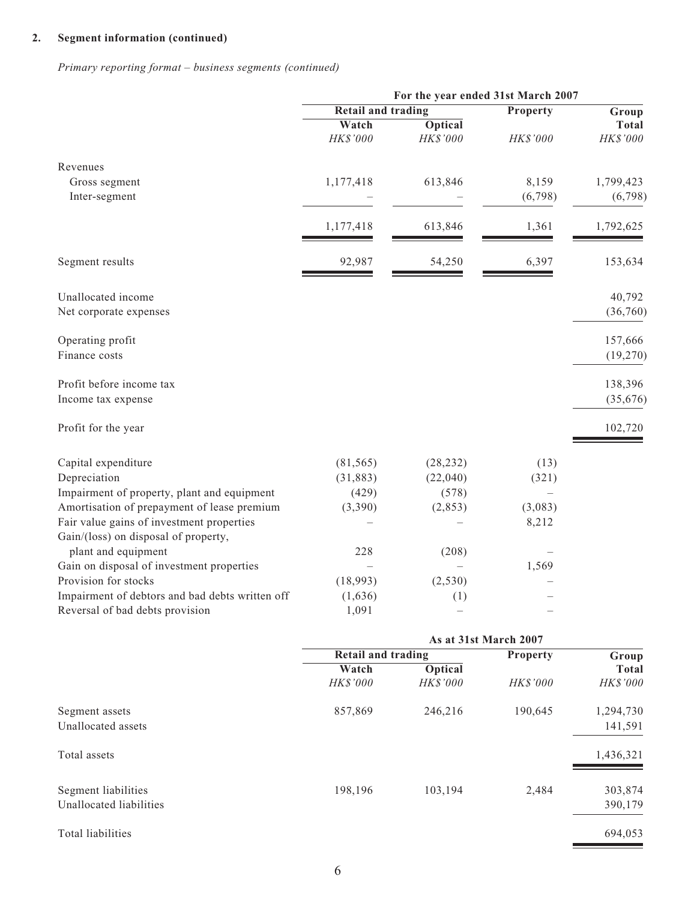## **2. Segment information (continued)**

*Primary reporting format – business segments (continued)*

|                                                                                    |                           | For the year ended 31st March 2007           |                  |                          |
|------------------------------------------------------------------------------------|---------------------------|----------------------------------------------|------------------|--------------------------|
|                                                                                    |                           | <b>Retail and trading</b><br><b>Property</b> |                  | Group                    |
|                                                                                    | Watch<br>HK\$'000         | <b>Optical</b><br>HK\$'000                   | HK\$'000         | <b>Total</b><br>HK\$'000 |
| Revenues                                                                           |                           |                                              |                  |                          |
| Gross segment<br>Inter-segment                                                     | 1,177,418                 | 613,846                                      | 8,159<br>(6,798) | 1,799,423<br>(6,798)     |
|                                                                                    | 1,177,418                 | 613,846                                      | 1,361            | 1,792,625                |
| Segment results                                                                    | 92,987                    | 54,250                                       | 6,397            | 153,634                  |
| Unallocated income<br>Net corporate expenses                                       |                           |                                              |                  | 40,792<br>(36,760)       |
| Operating profit<br>Finance costs                                                  |                           |                                              |                  | 157,666<br>(19,270)      |
| Profit before income tax<br>Income tax expense                                     |                           |                                              |                  | 138,396<br>(35,676)      |
| Profit for the year                                                                |                           |                                              |                  | 102,720                  |
| Capital expenditure                                                                | (81, 565)                 | (28, 232)                                    | (13)             |                          |
| Depreciation                                                                       | (31, 883)                 | (22,040)                                     | (321)            |                          |
| Impairment of property, plant and equipment                                        | (429)                     | (578)                                        |                  |                          |
| Amortisation of prepayment of lease premium                                        | (3,390)                   | (2,853)                                      | (3,083)          |                          |
| Fair value gains of investment properties<br>Gain/(loss) on disposal of property,  |                           |                                              | 8,212            |                          |
| plant and equipment                                                                | 228                       | (208)                                        |                  |                          |
| Gain on disposal of investment properties                                          |                           |                                              | 1,569            |                          |
| Provision for stocks                                                               | (18,993)                  | (2, 530)                                     |                  |                          |
| Impairment of debtors and bad debts written off<br>Reversal of bad debts provision | (1,636)<br>1,091          | (1)                                          |                  |                          |
|                                                                                    | <b>Retail and trading</b> | As at 31st March 2007                        |                  |                          |
|                                                                                    | Watch                     | <b>Optical</b>                               | Property         | Group<br><b>Total</b>    |
|                                                                                    | HK\$'000                  | HK\$'000                                     | HK\$'000         | HK\$'000                 |
| Segment assets<br>Unallocated assets                                               | 857,869                   | 246,216                                      | 190,645          | 1,294,730<br>141,591     |
| Total assets                                                                       |                           |                                              |                  | 1,436,321                |
| Segment liabilities<br>Unallocated liabilities                                     | 198,196                   | 103,194                                      | 2,484            | 303,874<br>390,179       |
| Total liabilities                                                                  |                           |                                              |                  | 694,053                  |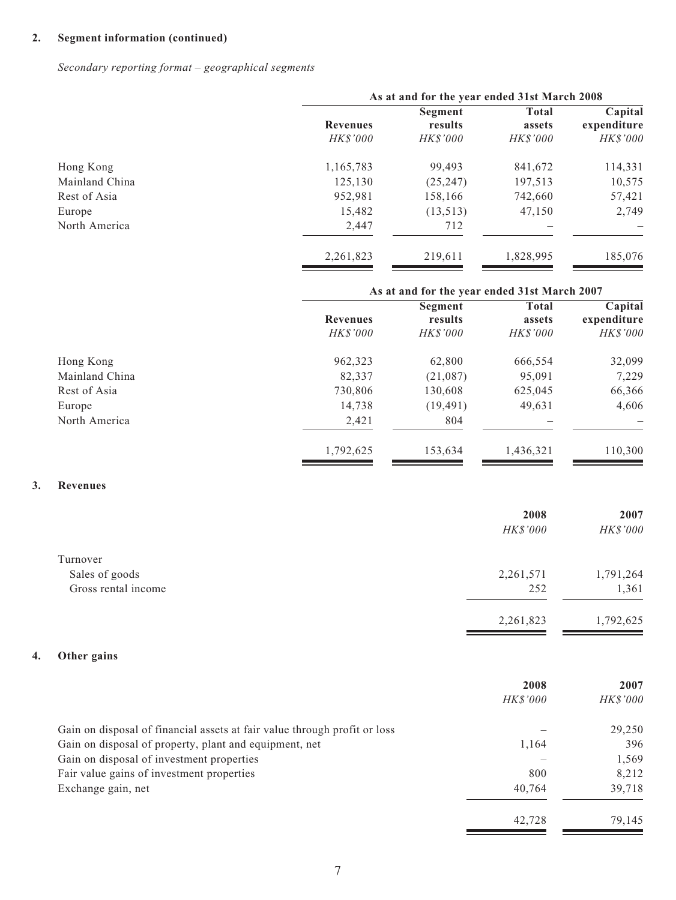## **2. Segment information (continued)**

*Secondary reporting format – geographical segments*

|                | As at and for the year ended 31st March 2008 |                                       |                                           |                                           |
|----------------|----------------------------------------------|---------------------------------------|-------------------------------------------|-------------------------------------------|
|                | <b>Revenues</b><br><b>HK\$'000</b>           | Segment<br>results<br><b>HK\$'000</b> | <b>Total</b><br>assets<br><b>HK\$'000</b> | Capital<br>expenditure<br><b>HK\$'000</b> |
| Hong Kong      | 1,165,783                                    | 99,493                                | 841,672                                   | 114,331                                   |
| Mainland China | 125,130                                      | (25, 247)                             | 197,513                                   | 10,575                                    |
| Rest of Asia   | 952,981                                      | 158,166                               | 742,660                                   | 57,421                                    |
| Europe         | 15,482                                       | (13,513)                              | 47,150                                    | 2,749                                     |
| North America  | 2,447                                        | 712                                   |                                           |                                           |
|                | 2,261,823                                    | 219,611                               | 1,828,995                                 | 185,076                                   |

|                | As at and for the year ended 31st March 2007 |                                       |                                           |                                           |
|----------------|----------------------------------------------|---------------------------------------|-------------------------------------------|-------------------------------------------|
|                | <b>Revenues</b><br><b>HK\$'000</b>           | Segment<br>results<br><b>HK\$'000</b> | <b>Total</b><br>assets<br><b>HK\$'000</b> | Capital<br>expenditure<br><b>HK\$'000</b> |
| Hong Kong      | 962,323                                      | 62,800                                | 666,554                                   | 32,099                                    |
| Mainland China | 82,337                                       | (21,087)                              | 95,091                                    | 7,229                                     |
| Rest of Asia   | 730,806                                      | 130,608                               | 625,045                                   | 66,366                                    |
| Europe         | 14,738                                       | (19, 491)                             | 49,631                                    | 4,606                                     |
| North America  | 2,421                                        | 804                                   |                                           |                                           |
|                | 1,792,625                                    | 153,634                               | 1,436,321                                 | 110,300                                   |

## **3. Revenues**

|                     | 2008      | 2007      |
|---------------------|-----------|-----------|
|                     | HK\$'000  | HK\$'000  |
| Turnover            |           |           |
| Sales of goods      | 2,261,571 | 1,791,264 |
| Gross rental income | 252       | 1,361     |
|                     | 2,261,823 | 1,792,625 |

## **4. Other gains**

|                                                                           | 2008            | 2007            |
|---------------------------------------------------------------------------|-----------------|-----------------|
|                                                                           | <i>HK\$'000</i> | <b>HK\$'000</b> |
| Gain on disposal of financial assets at fair value through profit or loss |                 | 29,250          |
| Gain on disposal of property, plant and equipment, net                    | 1,164           | 396             |
| Gain on disposal of investment properties                                 |                 | 1,569           |
| Fair value gains of investment properties                                 | 800             | 8.212           |
| Exchange gain, net                                                        | 40,764          | 39,718          |
|                                                                           | 42,728          | 79.145          |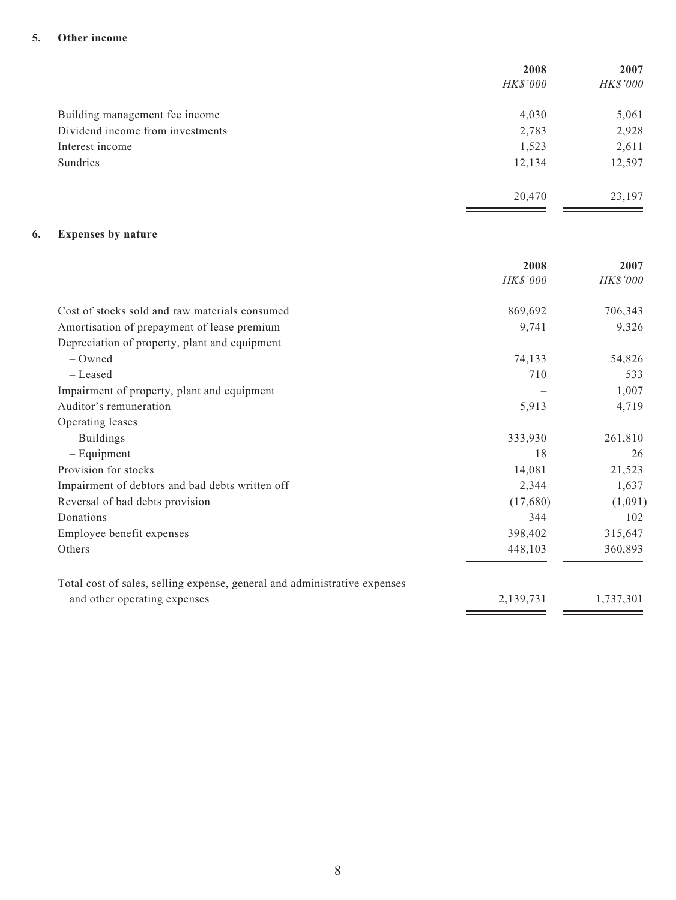#### **5. Other income**

|                                  | 2008            | 2007     |
|----------------------------------|-----------------|----------|
|                                  | <i>HK\$'000</i> | HK\$'000 |
| Building management fee income   | 4,030           | 5,061    |
| Dividend income from investments | 2,783           | 2,928    |
| Interest income                  | 1,523           | 2,611    |
| Sundries                         | 12,134          | 12,597   |
|                                  | 20,470          | 23,197   |
|                                  |                 |          |

## **6. Expenses by nature**

|                                                                           | 2008      | 2007      |
|---------------------------------------------------------------------------|-----------|-----------|
|                                                                           | HK\$'000  | HK\$'000  |
| Cost of stocks sold and raw materials consumed                            | 869,692   | 706,343   |
| Amortisation of prepayment of lease premium                               | 9,741     | 9,326     |
| Depreciation of property, plant and equipment                             |           |           |
| $-$ Owned                                                                 | 74,133    | 54,826    |
| – Leased                                                                  | 710       | 533       |
| Impairment of property, plant and equipment                               |           | 1,007     |
| Auditor's remuneration                                                    | 5,913     | 4,719     |
| Operating leases                                                          |           |           |
| $-$ Buildings                                                             | 333,930   | 261,810   |
| $-$ Equipment                                                             | 18        | 26        |
| Provision for stocks                                                      | 14,081    | 21,523    |
| Impairment of debtors and bad debts written off                           | 2,344     | 1,637     |
| Reversal of bad debts provision                                           | (17,680)  | (1,091)   |
| Donations                                                                 | 344       | 102       |
| Employee benefit expenses                                                 | 398,402   | 315,647   |
| Others                                                                    | 448,103   | 360,893   |
| Total cost of sales, selling expense, general and administrative expenses |           |           |
| and other operating expenses                                              | 2,139,731 | 1,737,301 |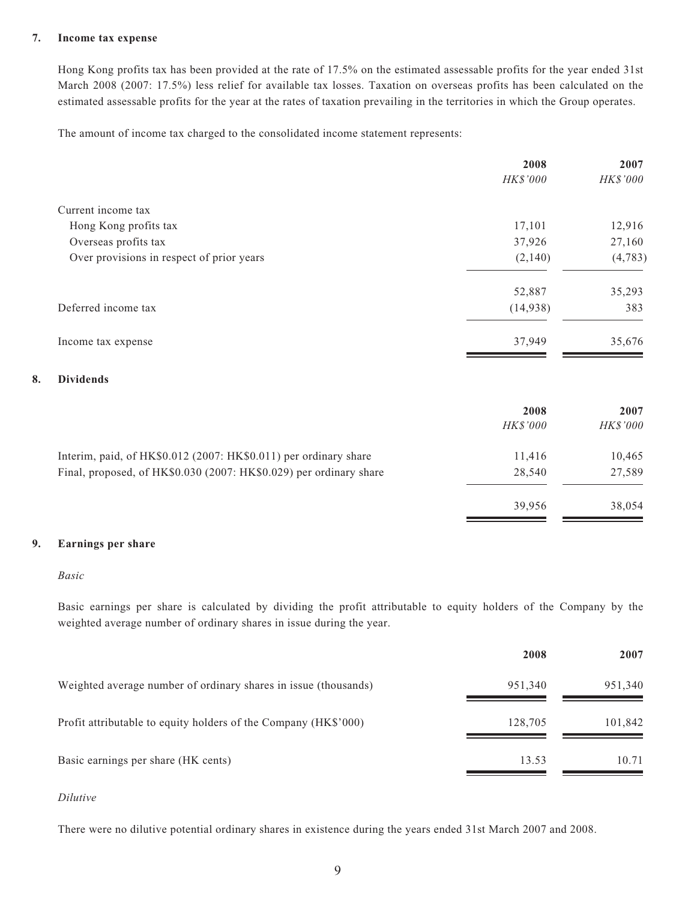#### **7. Income tax expense**

Hong Kong profits tax has been provided at the rate of 17.5% on the estimated assessable profits for the year ended 31st March 2008 (2007: 17.5%) less relief for available tax losses. Taxation on overseas profits has been calculated on the estimated assessable profits for the year at the rates of taxation prevailing in the territories in which the Group operates.

The amount of income tax charged to the consolidated income statement represents:

| HK\$'000<br>17,101<br>37,926<br>(2,140) | HK\$'000<br>12,916<br>27,160<br>(4,783) |
|-----------------------------------------|-----------------------------------------|
|                                         |                                         |
|                                         |                                         |
|                                         |                                         |
|                                         |                                         |
|                                         |                                         |
| 52,887                                  | 35,293                                  |
| (14,938)                                | 383                                     |
| 37,949                                  | 35,676                                  |
|                                         |                                         |
| 2008                                    | 2007                                    |
|                                         | HK\$'000                                |
| 11,416                                  | 10,465                                  |
| 28,540                                  | 27,589                                  |
|                                         | HK\$'000                                |

#### **9. Earnings per share**

#### *Basic*

**8. Dividends**

Basic earnings per share is calculated by dividing the profit attributable to equity holders of the Company by the weighted average number of ordinary shares in issue during the year.

39,956 38,054

|                                                                 | 2008    | 2007    |
|-----------------------------------------------------------------|---------|---------|
| Weighted average number of ordinary shares in issue (thousands) | 951,340 | 951,340 |
| Profit attributable to equity holders of the Company (HK\$'000) | 128,705 | 101,842 |
| Basic earnings per share (HK cents)                             | 13.53   | 10.71   |

#### *Dilutive*

There were no dilutive potential ordinary shares in existence during the years ended 31st March 2007 and 2008.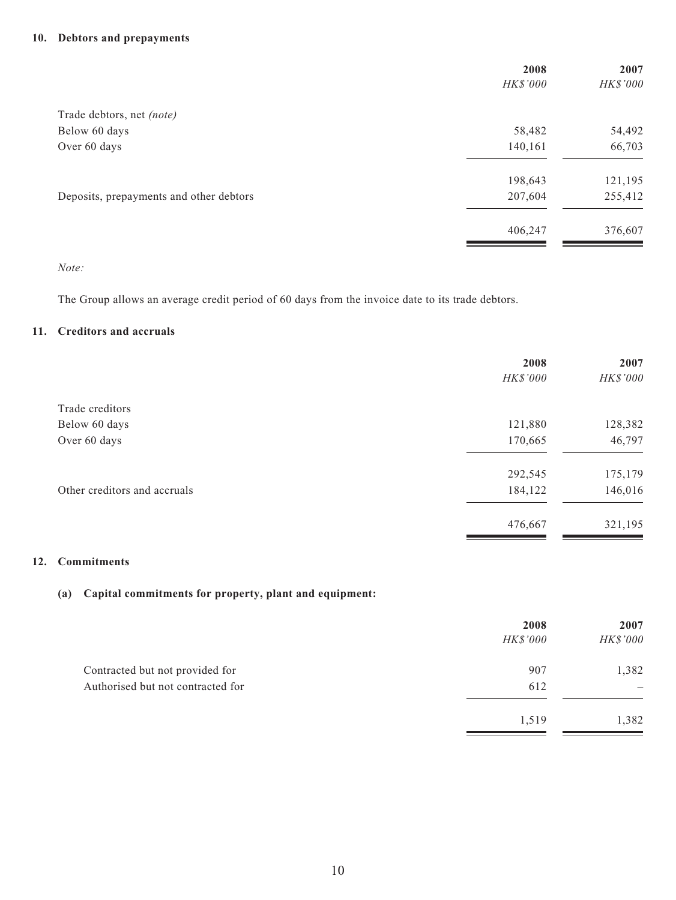#### **10. Debtors and prepayments**

| 2008     | 2007     |
|----------|----------|
| HK\$'000 | HK\$'000 |
|          |          |
| 58,482   | 54,492   |
| 140,161  | 66,703   |
| 198,643  | 121,195  |
| 207,604  | 255,412  |
| 406,247  | 376,607  |
|          |          |

#### *Note:*

The Group allows an average credit period of 60 days from the invoice date to its trade debtors.

#### **11. Creditors and accruals**

|                              | 2008     | 2007     |
|------------------------------|----------|----------|
|                              | HK\$'000 | HK\$'000 |
| Trade creditors              |          |          |
| Below 60 days                | 121,880  | 128,382  |
| Over 60 days                 | 170,665  | 46,797   |
|                              | 292,545  | 175,179  |
| Other creditors and accruals | 184,122  | 146,016  |
|                              | 476,667  | 321,195  |

#### **12. Commitments**

#### **(a) Capital commitments for property, plant and equipment:**

|                                   | 2008            | 2007     |
|-----------------------------------|-----------------|----------|
|                                   | <b>HK\$'000</b> | HK\$'000 |
| Contracted but not provided for   | 907             | 1,382    |
| Authorised but not contracted for | 612             |          |
|                                   | 1,519           | 1,382    |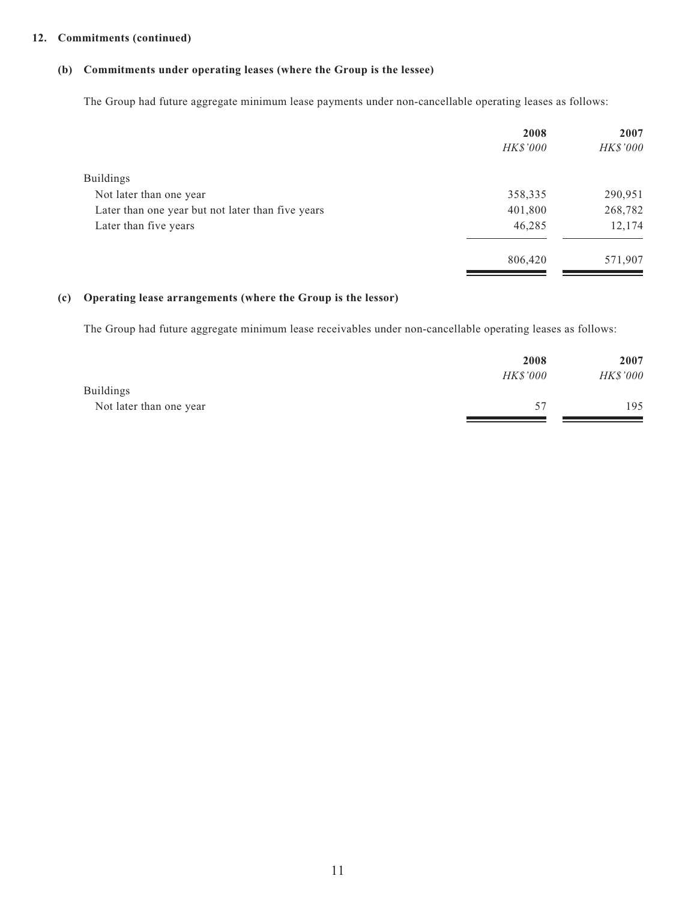#### **12. Commitments (continued)**

#### **(b) Commitments under operating leases (where the Group is the lessee)**

The Group had future aggregate minimum lease payments under non-cancellable operating leases as follows:

|                                                   | 2008<br><b>HK\$'000</b> | 2007<br>HK\$'000 |
|---------------------------------------------------|-------------------------|------------------|
| <b>Buildings</b>                                  |                         |                  |
| Not later than one year                           | 358,335                 | 290,951          |
| Later than one year but not later than five years | 401,800                 | 268,782          |
| Later than five years                             | 46,285                  | 12,174           |
|                                                   | 806,420                 | 571,907          |

#### **(c) Operating lease arrangements (where the Group is the lessor)**

The Group had future aggregate minimum lease receivables under non-cancellable operating leases as follows:

|                         | 2008            | 2007            |
|-------------------------|-----------------|-----------------|
|                         | <b>HK\$'000</b> | <b>HK\$'000</b> |
| <b>Buildings</b>        |                 |                 |
| Not later than one year | 57              | 195             |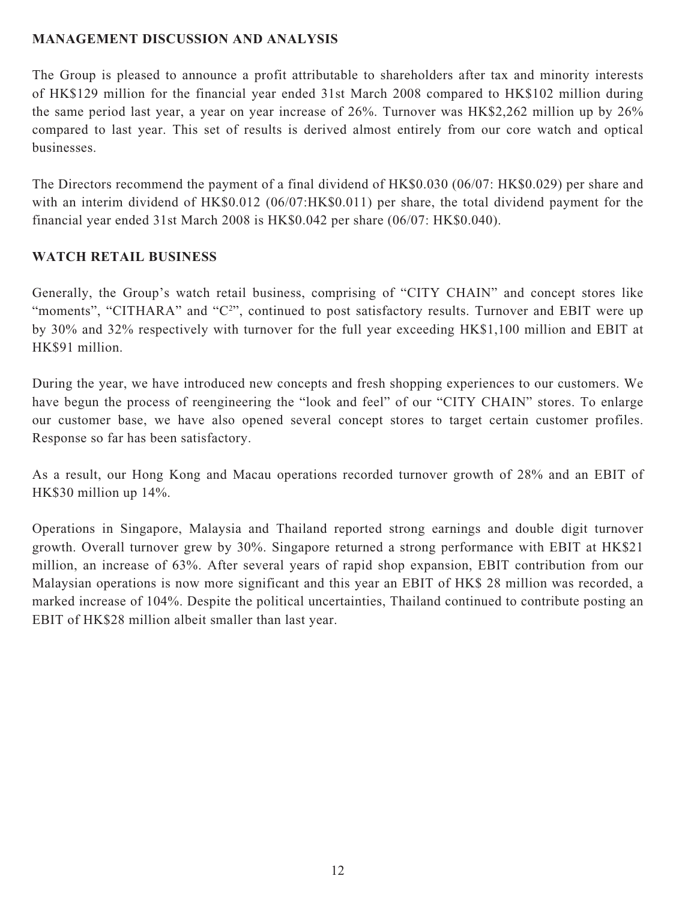## **MANAGEMENT DISCUSSION AND ANALYSIS**

The Group is pleased to announce a profit attributable to shareholders after tax and minority interests of HK\$129 million for the financial year ended 31st March 2008 compared to HK\$102 million during the same period last year, a year on year increase of 26%. Turnover was HK\$2,262 million up by 26% compared to last year. This set of results is derived almost entirely from our core watch and optical businesses.

The Directors recommend the payment of a final dividend of HK\$0.030 (06/07: HK\$0.029) per share and with an interim dividend of HK\$0.012 (06/07:HK\$0.011) per share, the total dividend payment for the financial year ended 31st March 2008 is HK\$0.042 per share (06/07: HK\$0.040).

## **WATCH RETAIL BUSINESS**

Generally, the Group's watch retail business, comprising of "CITY CHAIN" and concept stores like "moments", "CITHARA" and "C<sup>2</sup>", continued to post satisfactory results. Turnover and EBIT were up by 30% and 32% respectively with turnover for the full year exceeding HK\$1,100 million and EBIT at HK\$91 million.

During the year, we have introduced new concepts and fresh shopping experiences to our customers. We have begun the process of reengineering the "look and feel" of our "CITY CHAIN" stores. To enlarge our customer base, we have also opened several concept stores to target certain customer profiles. Response so far has been satisfactory.

As a result, our Hong Kong and Macau operations recorded turnover growth of 28% and an EBIT of HK\$30 million up 14%.

Operations in Singapore, Malaysia and Thailand reported strong earnings and double digit turnover growth. Overall turnover grew by 30%. Singapore returned a strong performance with EBIT at HK\$21 million, an increase of 63%. After several years of rapid shop expansion, EBIT contribution from our Malaysian operations is now more significant and this year an EBIT of HK\$ 28 million was recorded, a marked increase of 104%. Despite the political uncertainties, Thailand continued to contribute posting an EBIT of HK\$28 million albeit smaller than last year.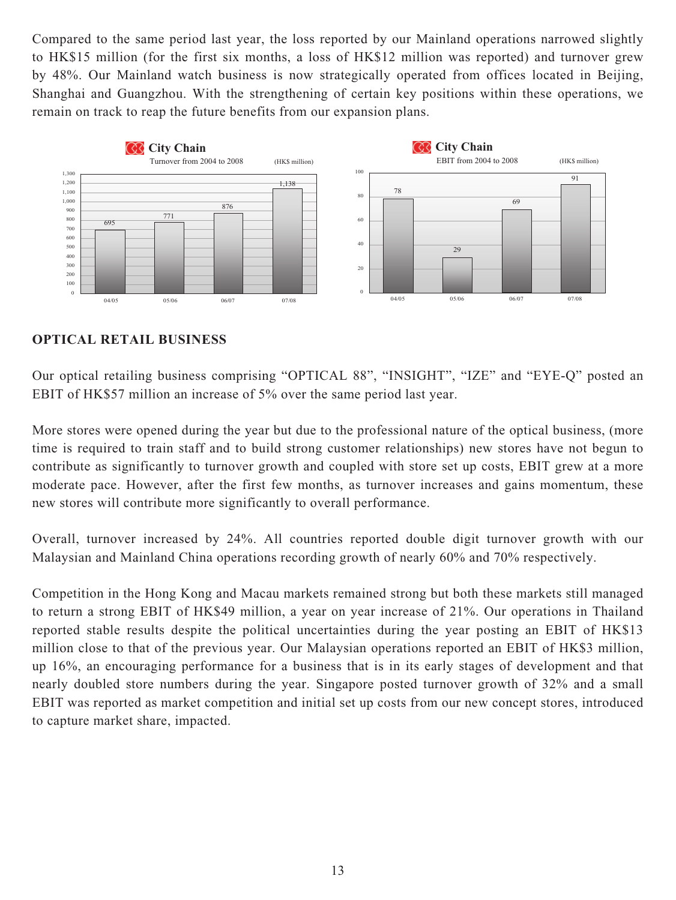Compared to the same period last year, the loss reported by our Mainland operations narrowed slightly to HK\$15 million (for the first six months, a loss of HK\$12 million was reported) and turnover grew by 48%. Our Mainland watch business is now strategically operated from offices located in Beijing, Shanghai and Guangzhou. With the strengthening of certain key positions within these operations, we remain on track to reap the future benefits from our expansion plans.



## **OPTICAL RETAIL BUSINESS**

Our optical retailing business comprising "OPTICAL 88", "INSIGHT", "IZE" and "EYE-Q" posted an EBIT of HK\$57 million an increase of 5% over the same period last year.

More stores were opened during the year but due to the professional nature of the optical business, (more time is required to train staff and to build strong customer relationships) new stores have not begun to contribute as significantly to turnover growth and coupled with store set up costs, EBIT grew at a more moderate pace. However, after the first few months, as turnover increases and gains momentum, these new stores will contribute more significantly to overall performance.

Overall, turnover increased by 24%. All countries reported double digit turnover growth with our Malaysian and Mainland China operations recording growth of nearly 60% and 70% respectively.

Competition in the Hong Kong and Macau markets remained strong but both these markets still managed to return a strong EBIT of HK\$49 million, a year on year increase of 21%. Our operations in Thailand reported stable results despite the political uncertainties during the year posting an EBIT of HK\$13 million close to that of the previous year. Our Malaysian operations reported an EBIT of HK\$3 million, up 16%, an encouraging performance for a business that is in its early stages of development and that nearly doubled store numbers during the year. Singapore posted turnover growth of 32% and a small EBIT was reported as market competition and initial set up costs from our new concept stores, introduced to capture market share, impacted.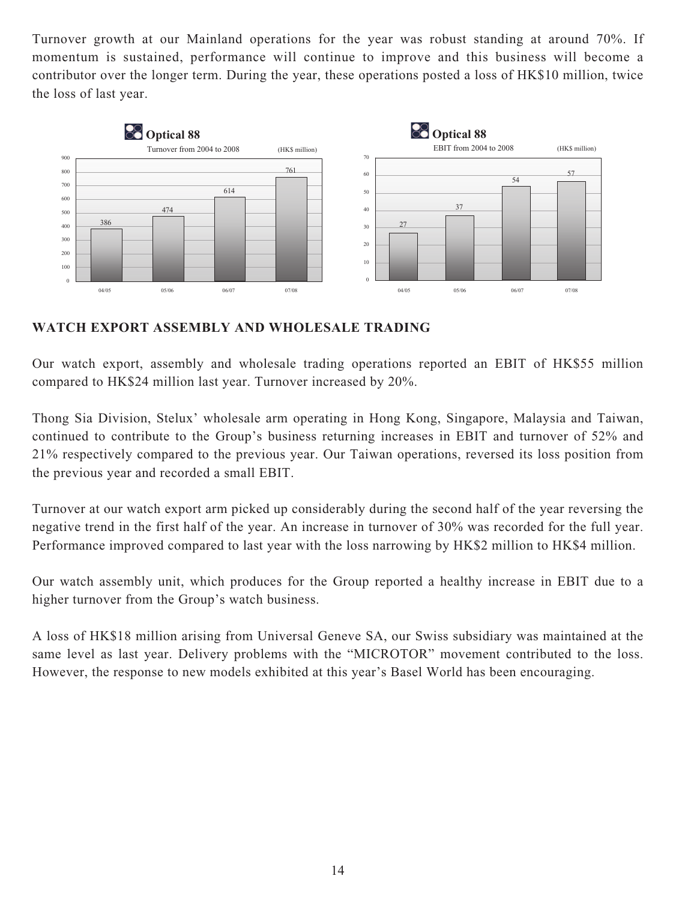Turnover growth at our Mainland operations for the year was robust standing at around 70%. If momentum is sustained, performance will continue to improve and this business will become a contributor over the longer term. During the year, these operations posted a loss of HK\$10 million, twice the loss of last year.



## **WATCH EXPORT ASSEMBLY AND WHOLESALE TRADING**

Our watch export, assembly and wholesale trading operations reported an EBIT of HK\$55 million compared to HK\$24 million last year. Turnover increased by 20%.

Thong Sia Division, Stelux' wholesale arm operating in Hong Kong, Singapore, Malaysia and Taiwan, continued to contribute to the Group's business returning increases in EBIT and turnover of 52% and 21% respectively compared to the previous year. Our Taiwan operations, reversed its loss position from the previous year and recorded a small EBIT.

Turnover at our watch export arm picked up considerably during the second half of the year reversing the negative trend in the first half of the year. An increase in turnover of 30% was recorded for the full year. Performance improved compared to last year with the loss narrowing by HK\$2 million to HK\$4 million.

Our watch assembly unit, which produces for the Group reported a healthy increase in EBIT due to a higher turnover from the Group's watch business.

A loss of HK\$18 million arising from Universal Geneve SA, our Swiss subsidiary was maintained at the same level as last year. Delivery problems with the "MICROTOR" movement contributed to the loss. However, the response to new models exhibited at this year's Basel World has been encouraging.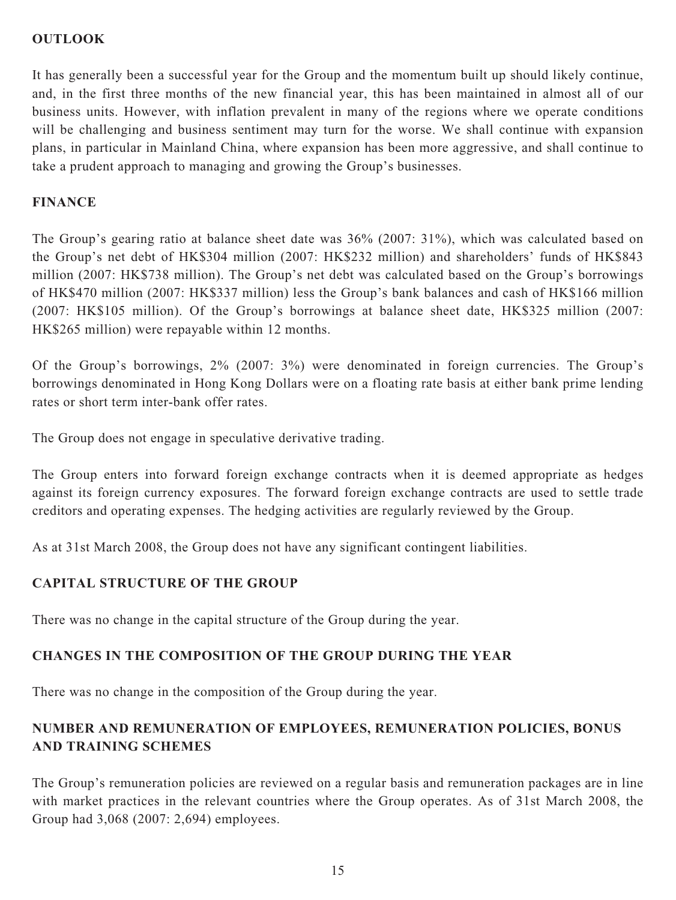## **OUTLOOK**

It has generally been a successful year for the Group and the momentum built up should likely continue, and, in the first three months of the new financial year, this has been maintained in almost all of our business units. However, with inflation prevalent in many of the regions where we operate conditions will be challenging and business sentiment may turn for the worse. We shall continue with expansion plans, in particular in Mainland China, where expansion has been more aggressive, and shall continue to take a prudent approach to managing and growing the Group's businesses.

## **FINANCE**

The Group's gearing ratio at balance sheet date was 36% (2007: 31%), which was calculated based on the Group's net debt of HK\$304 million (2007: HK\$232 million) and shareholders' funds of HK\$843 million (2007: HK\$738 million). The Group's net debt was calculated based on the Group's borrowings of HK\$470 million (2007: HK\$337 million) less the Group's bank balances and cash of HK\$166 million (2007: HK\$105 million). Of the Group's borrowings at balance sheet date, HK\$325 million (2007: HK\$265 million) were repayable within 12 months.

Of the Group's borrowings, 2% (2007: 3%) were denominated in foreign currencies. The Group's borrowings denominated in Hong Kong Dollars were on a floating rate basis at either bank prime lending rates or short term inter-bank offer rates.

The Group does not engage in speculative derivative trading.

The Group enters into forward foreign exchange contracts when it is deemed appropriate as hedges against its foreign currency exposures. The forward foreign exchange contracts are used to settle trade creditors and operating expenses. The hedging activities are regularly reviewed by the Group.

As at 31st March 2008, the Group does not have any significant contingent liabilities.

## **CAPITAL STRUCTURE OF THE GROUP**

There was no change in the capital structure of the Group during the year.

# **CHANGES IN THE COMPOSITION OF THE GROUP DURING THE YEAR**

There was no change in the composition of the Group during the year.

# **NUMBER AND REMUNERATION OF EMPLOYEES, REMUNERATION POLICIES, BONUS AND TRAINING SCHEMES**

The Group's remuneration policies are reviewed on a regular basis and remuneration packages are in line with market practices in the relevant countries where the Group operates. As of 31st March 2008, the Group had 3,068 (2007: 2,694) employees.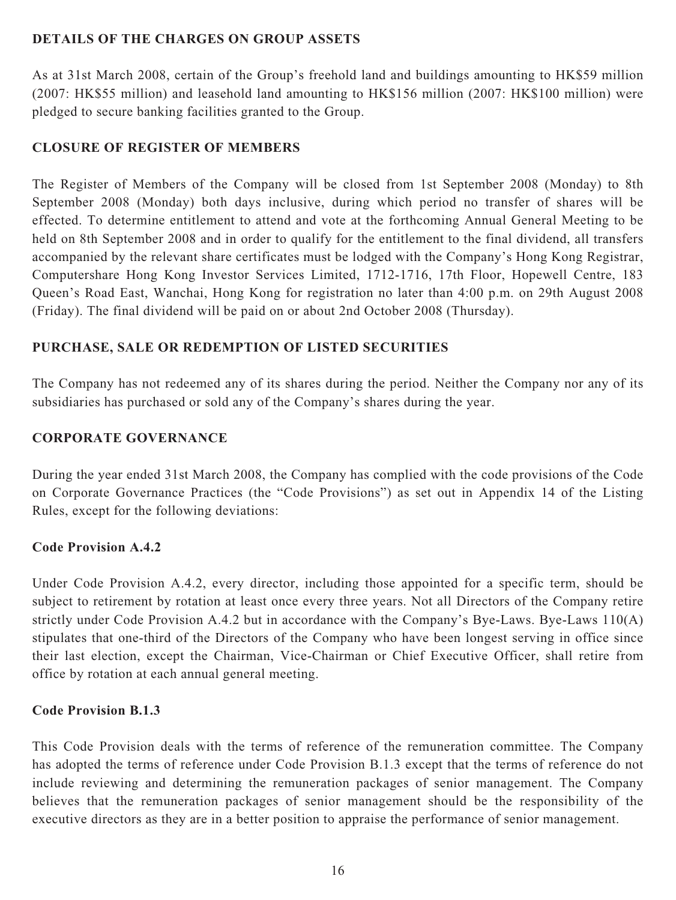## **DETAILS OF THE CHARGES ON GROUP ASSETS**

As at 31st March 2008, certain of the Group's freehold land and buildings amounting to HK\$59 million (2007: HK\$55 million) and leasehold land amounting to HK\$156 million (2007: HK\$100 million) were pledged to secure banking facilities granted to the Group.

## **CLOSURE OF REGISTER OF MEMBERS**

The Register of Members of the Company will be closed from 1st September 2008 (Monday) to 8th September 2008 (Monday) both days inclusive, during which period no transfer of shares will be effected. To determine entitlement to attend and vote at the forthcoming Annual General Meeting to be held on 8th September 2008 and in order to qualify for the entitlement to the final dividend, all transfers accompanied by the relevant share certificates must be lodged with the Company's Hong Kong Registrar, Computershare Hong Kong Investor Services Limited, 1712-1716, 17th Floor, Hopewell Centre, 183 Queen's Road East, Wanchai, Hong Kong for registration no later than 4:00 p.m. on 29th August 2008 (Friday). The final dividend will be paid on or about 2nd October 2008 (Thursday).

## **PURCHASE, SALE OR REDEMPTION OF LISTED SECURITIES**

The Company has not redeemed any of its shares during the period. Neither the Company nor any of its subsidiaries has purchased or sold any of the Company's shares during the year.

## **CORPORATE GOVERNANCE**

During the year ended 31st March 2008, the Company has complied with the code provisions of the Code on Corporate Governance Practices (the "Code Provisions") as set out in Appendix 14 of the Listing Rules, except for the following deviations:

## **Code Provision A.4.2**

Under Code Provision A.4.2, every director, including those appointed for a specific term, should be subject to retirement by rotation at least once every three years. Not all Directors of the Company retire strictly under Code Provision A.4.2 but in accordance with the Company's Bye-Laws. Bye-Laws 110(A) stipulates that one-third of the Directors of the Company who have been longest serving in office since their last election, except the Chairman, Vice-Chairman or Chief Executive Officer, shall retire from office by rotation at each annual general meeting.

## **Code Provision B.1.3**

This Code Provision deals with the terms of reference of the remuneration committee. The Company has adopted the terms of reference under Code Provision B.1.3 except that the terms of reference do not include reviewing and determining the remuneration packages of senior management. The Company believes that the remuneration packages of senior management should be the responsibility of the executive directors as they are in a better position to appraise the performance of senior management.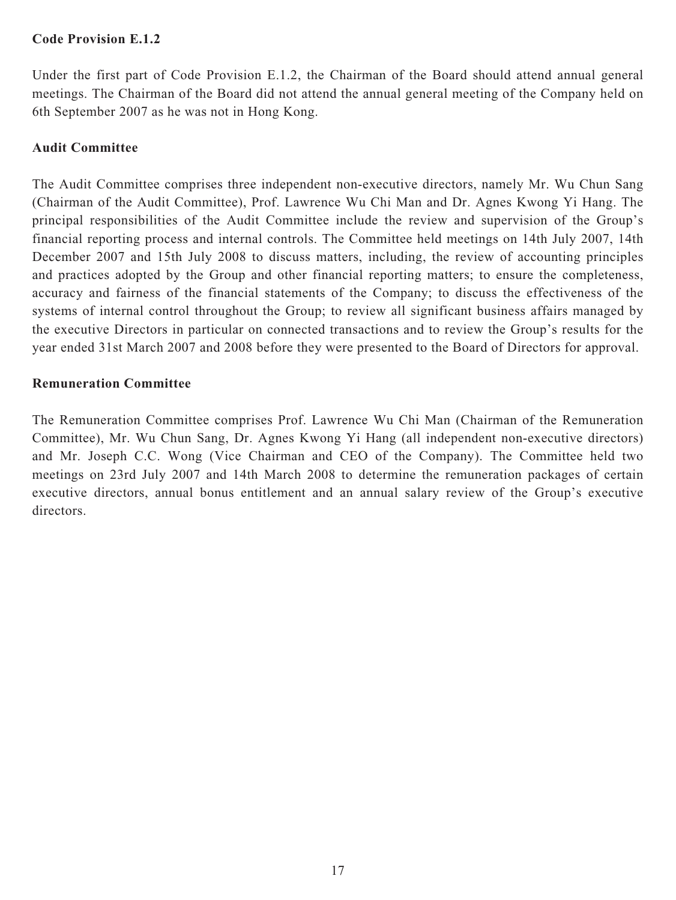## **Code Provision E.1.2**

Under the first part of Code Provision E.1.2, the Chairman of the Board should attend annual general meetings. The Chairman of the Board did not attend the annual general meeting of the Company held on 6th September 2007 as he was not in Hong Kong.

## **Audit Committee**

The Audit Committee comprises three independent non-executive directors, namely Mr. Wu Chun Sang (Chairman of the Audit Committee), Prof. Lawrence Wu Chi Man and Dr. Agnes Kwong Yi Hang. The principal responsibilities of the Audit Committee include the review and supervision of the Group's financial reporting process and internal controls. The Committee held meetings on 14th July 2007, 14th December 2007 and 15th July 2008 to discuss matters, including, the review of accounting principles and practices adopted by the Group and other financial reporting matters; to ensure the completeness, accuracy and fairness of the financial statements of the Company; to discuss the effectiveness of the systems of internal control throughout the Group; to review all significant business affairs managed by the executive Directors in particular on connected transactions and to review the Group's results for the year ended 31st March 2007 and 2008 before they were presented to the Board of Directors for approval.

## **Remuneration Committee**

The Remuneration Committee comprises Prof. Lawrence Wu Chi Man (Chairman of the Remuneration Committee), Mr. Wu Chun Sang, Dr. Agnes Kwong Yi Hang (all independent non-executive directors) and Mr. Joseph C.C. Wong (Vice Chairman and CEO of the Company). The Committee held two meetings on 23rd July 2007 and 14th March 2008 to determine the remuneration packages of certain executive directors, annual bonus entitlement and an annual salary review of the Group's executive directors.